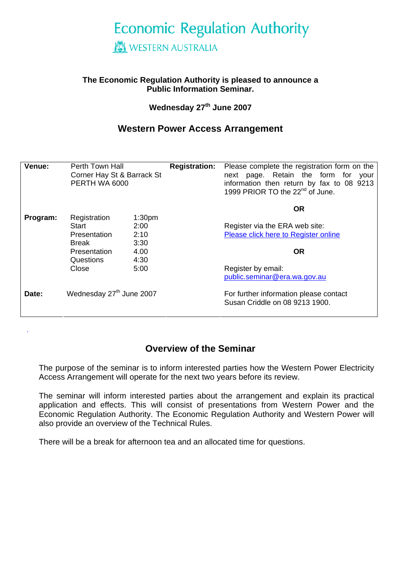# **Economic Regulation Authority**

## **WESTERN AUSTRALIA**

#### **The Economic Regulation Authority is pleased to announce a Public Information Seminar.**

#### **Wednesday 27th June 2007**

## **Western Power Access Arrangement**

| Venue:   | Perth Town Hall<br>Corner Hay St & Barrack St<br>PERTH WA 6000 |                      | <b>Registration:</b> | Please complete the registration form on the<br>next page. Retain the form for your<br>information then return by fax to 08 9213<br>1999 PRIOR TO the 22 <sup>nd</sup> of June. |  |
|----------|----------------------------------------------------------------|----------------------|----------------------|---------------------------------------------------------------------------------------------------------------------------------------------------------------------------------|--|
| Program: | Registration                                                   | 1:30 <sub>pm</sub>   |                      | <b>OR</b>                                                                                                                                                                       |  |
|          | Start<br>Presentation<br>Break                                 | 2:00<br>2:10<br>3:30 |                      | Register via the ERA web site:<br>Please click here to Register online                                                                                                          |  |
|          | <b>Presentation</b><br>Questions                               | 4.00<br>4:30         |                      | <b>OR</b>                                                                                                                                                                       |  |
|          | Close                                                          | 5:00                 |                      | Register by email:<br>public.seminar@era.wa.gov.au                                                                                                                              |  |
| Date:    | Wednesday 27 <sup>th</sup> June 2007                           |                      |                      | For further information please contact<br>Susan Criddle on 08 9213 1900.                                                                                                        |  |

## **Overview of the Seminar**

The purpose of the seminar is to inform interested parties how the Western Power Electricity Access Arrangement will operate for the next two years before its review.

The seminar will inform interested parties about the arrangement and explain its practical application and effects. This will consist of presentations from Western Power and the Economic Regulation Authority. The Economic Regulation Authority and Western Power will also provide an overview of the Technical Rules.

There will be a break for afternoon tea and an allocated time for questions.

.